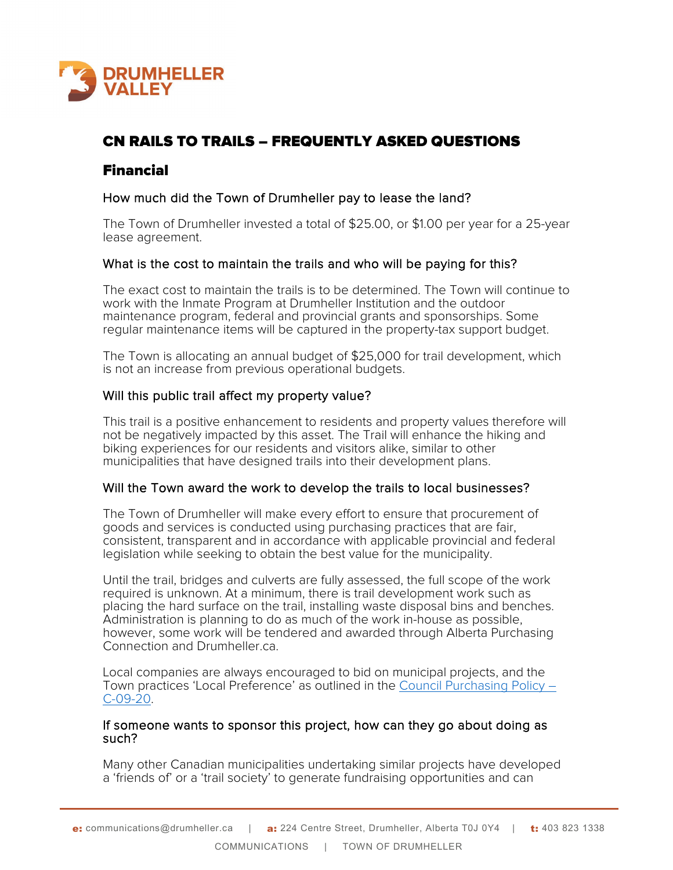

# CN RAILS TO TRAILS – FREQUENTLY ASKED QUESTIONS

## Financial

## How much did the Town of Drumheller pay to lease the land?

The Town of Drumheller invested a total of \$25.00, or \$1.00 per year for a 25-year lease agreement.

## What is the cost to maintain the trails and who will be paying for this?

The exact cost to maintain the trails is to be determined. The Town will continue to work with the Inmate Program at Drumheller Institution and the outdoor maintenance program, federal and provincial grants and sponsorships. Some regular maintenance items will be captured in the property-tax support budget.

The Town is allocating an annual budget of \$25,000 for trail development, which is not an increase from previous operational budgets.

## Will this public trail affect my property value?

This trail is a positive enhancement to residents and property values therefore will not be negatively impacted by this asset. The Trail will enhance the hiking and biking experiences for our residents and visitors alike, similar to other municipalities that have designed trails into their development plans.

## Will the Town award the work to develop the trails to local businesses?

The Town of Drumheller will make every effort to ensure that procurement of goods and services is conducted using purchasing practices that are fair, consistent, transparent and in accordance with applicable provincial and federal legislation while seeking to obtain the best value for the municipality.

Until the trail, bridges and culverts are fully assessed, the full scope of the work required is unknown. At a minimum, there is trail development work such as placing the hard surface on the trail, installing waste disposal bins and benches. Administration is planning to do as much of the work in-house as possible, however, some work will be tendered and awarded through Alberta Purchasing Connection and Drumheller.ca.

Local companies are always encouraged to bid on municipal projects, and the Town practices 'Local Preference' as outlined in the [Council Purchasing Policy –](https://www.drumheller.ca/public/download/files/198814)  [C-09-20.](https://www.drumheller.ca/public/download/files/198814)

#### If someone wants to sponsor this project, how can they go about doing as such?

Many other Canadian municipalities undertaking similar projects have developed a 'friends of' or a 'trail society' to generate fundraising opportunities and can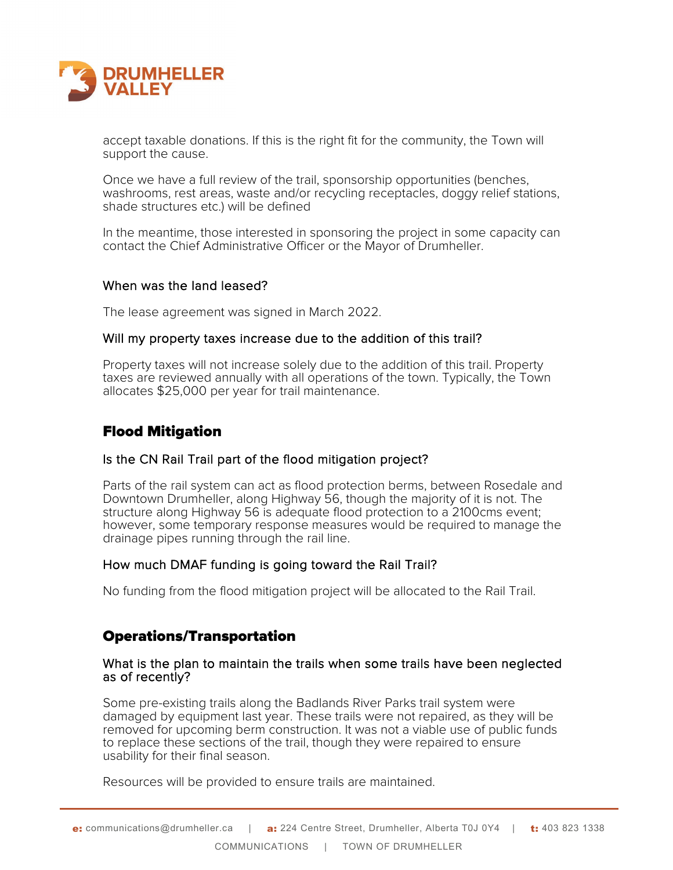

accept taxable donations. If this is the right fit for the community, the Town will support the cause.

Once we have a full review of the trail, sponsorship opportunities (benches, washrooms, rest areas, waste and/or recycling receptacles, doggy relief stations, shade structures etc.) will be defined

In the meantime, those interested in sponsoring the project in some capacity can contact the Chief Administrative Officer or the Mayor of Drumheller.

#### When was the land leased?

The lease agreement was signed in March 2022.

#### Will my property taxes increase due to the addition of this trail?

Property taxes will not increase solely due to the addition of this trail. Property taxes are reviewed annually with all operations of the town. Typically, the Town allocates \$25,000 per year for trail maintenance.

## Flood Mitigation

#### Is the CN Rail Trail part of the flood mitigation project?

Parts of the rail system can act as flood protection berms, between Rosedale and Downtown Drumheller, along Highway 56, though the majority of it is not. The structure along Highway 56 is adequate flood protection to a 2100cms event; however, some temporary response measures would be required to manage the drainage pipes running through the rail line.

## How much DMAF funding is going toward the Rail Trail?

No funding from the flood mitigation project will be allocated to the Rail Trail.

## Operations/Transportation

#### What is the plan to maintain the trails when some trails have been neglected as of recently?

Some pre-existing trails along the Badlands River Parks trail system were damaged by equipment last year. These trails were not repaired, as they will be removed for upcoming berm construction. It was not a viable use of public funds to replace these sections of the trail, though they were repaired to ensure usability for their final season.

Resources will be provided to ensure trails are maintained.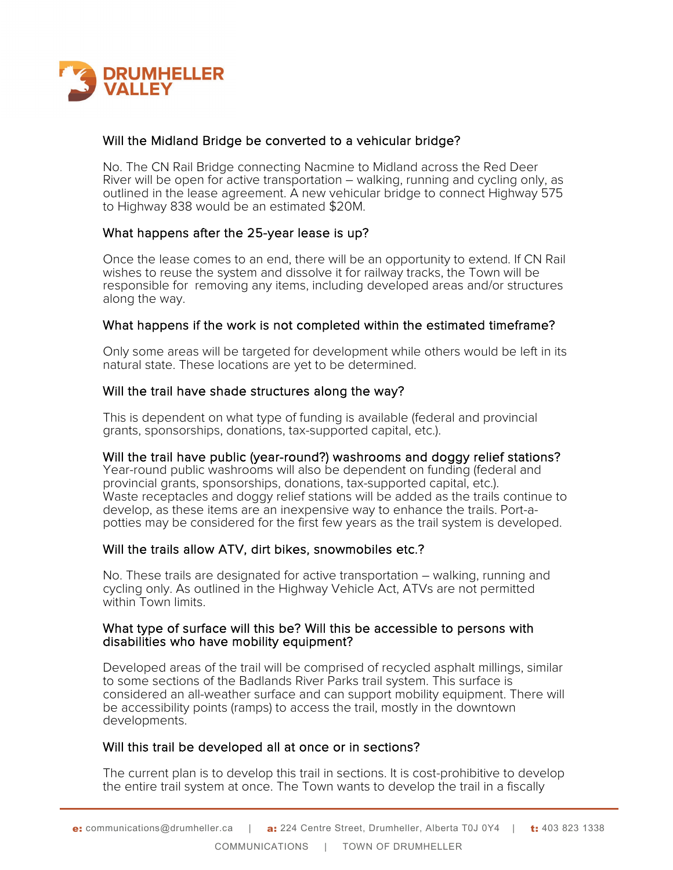

## Will the Midland Bridge be converted to a vehicular bridge?

No. The CN Rail Bridge connecting Nacmine to Midland across the Red Deer River will be open for active transportation – walking, running and cycling only, as outlined in the lease agreement. A new vehicular bridge to connect Highway 575 to Highway 838 would be an estimated \$20M.

## What happens after the 25-year lease is up?

Once the lease comes to an end, there will be an opportunity to extend. If CN Rail wishes to reuse the system and dissolve it for railway tracks, the Town will be responsible for removing any items, including developed areas and/or structures along the way.

## What happens if the work is not completed within the estimated timeframe?

Only some areas will be targeted for development while others would be left in its natural state. These locations are yet to be determined.

#### Will the trail have shade structures along the way?

This is dependent on what type of funding is available (federal and provincial grants, sponsorships, donations, tax-supported capital, etc.).

#### Will the trail have public (year-round?) washrooms and doggy relief stations?

Year-round public washrooms will also be dependent on funding (federal and provincial grants, sponsorships, donations, tax-supported capital, etc.). Waste receptacles and doggy relief stations will be added as the trails continue to develop, as these items are an inexpensive way to enhance the trails. Port-apotties may be considered for the first few years as the trail system is developed.

#### Will the trails allow ATV, dirt bikes, snowmobiles etc.?

No. These trails are designated for active transportation – walking, running and cycling only. As outlined in the Highway Vehicle Act, ATVs are not permitted within Town limits.

#### What type of surface will this be? Will this be accessible to persons with disabilities who have mobility equipment?

Developed areas of the trail will be comprised of recycled asphalt millings, similar to some sections of the Badlands River Parks trail system. This surface is considered an all-weather surface and can support mobility equipment. There will be accessibility points (ramps) to access the trail, mostly in the downtown developments.

## Will this trail be developed all at once or in sections?

The current plan is to develop this trail in sections. It is cost-prohibitive to develop the entire trail system at once. The Town wants to develop the trail in a fiscally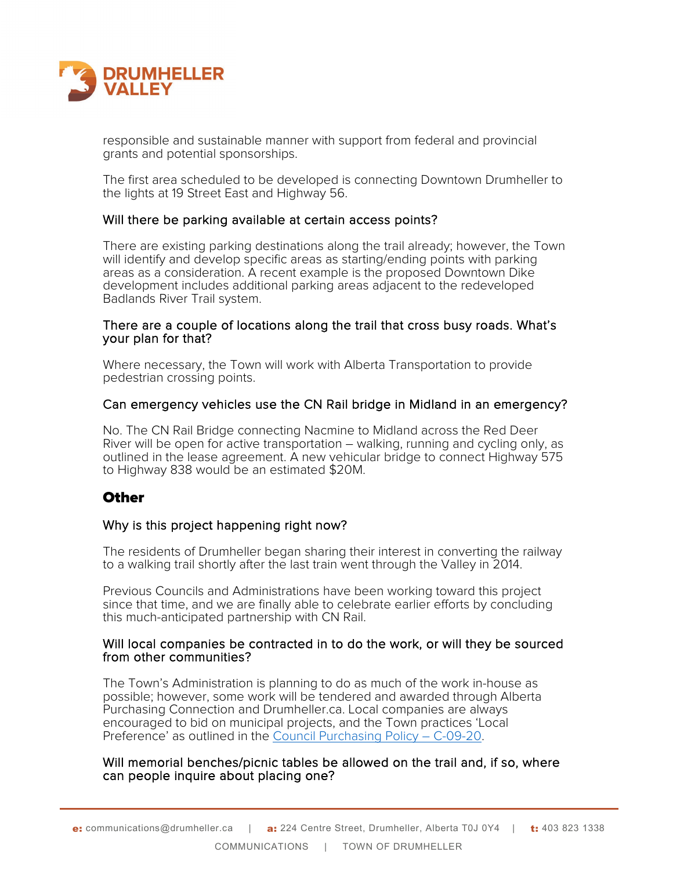

responsible and sustainable manner with support from federal and provincial grants and potential sponsorships.

The first area scheduled to be developed is connecting Downtown Drumheller to the lights at 19 Street East and Highway 56.

#### Will there be parking available at certain access points?

There are existing parking destinations along the trail already; however, the Town will identify and develop specific areas as starting/ending points with parking areas as a consideration. A recent example is the proposed Downtown Dike development includes additional parking areas adjacent to the redeveloped Badlands River Trail system.

#### There are a couple of locations along the trail that cross busy roads. What's your plan for that?

Where necessary, the Town will work with Alberta Transportation to provide pedestrian crossing points.

#### Can emergency vehicles use the CN Rail bridge in Midland in an emergency?

No. The CN Rail Bridge connecting Nacmine to Midland across the Red Deer River will be open for active transportation – walking, running and cycling only, as outlined in the lease agreement. A new vehicular bridge to connect Highway 575 to Highway 838 would be an estimated \$20M.

## **Other**

## Why is this project happening right now?

The residents of Drumheller began sharing their interest in converting the railway to a walking trail shortly after the last train went through the Valley in 2014.

Previous Councils and Administrations have been working toward this project since that time, and we are finally able to celebrate earlier efforts by concluding this much-anticipated partnership with CN Rail.

#### Will local companies be contracted in to do the work, or will they be sourced from other communities?

The Town's Administration is planning to do as much of the work in-house as possible; however, some work will be tendered and awarded through Alberta Purchasing Connection and Drumheller.ca. Local companies are always encouraged to bid on municipal projects, and the Town practices 'Local Preference' as outlined in the [Council Purchasing Policy – C-09-20.](https://www.drumheller.ca/public/download/files/198814)

#### Will memorial benches/picnic tables be allowed on the trail and, if so, where can people inquire about placing one?